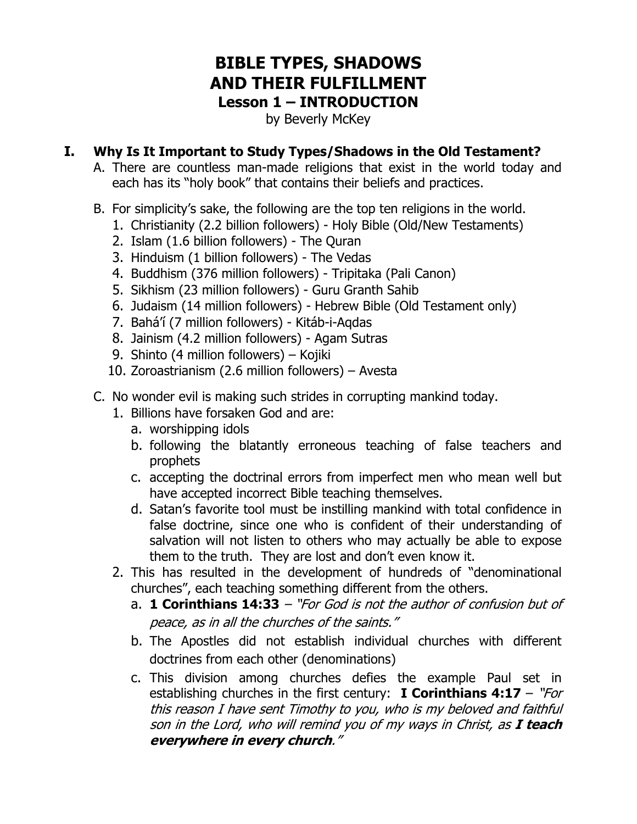# **BIBLE TYPES, SHADOWS AND THEIR FULFILLMENT Lesson 1 – INTRODUCTION**

by Beverly McKey

#### **I. Why Is It Important to Study Types/Shadows in the Old Testament?**

- A. There are countless man-made religions that exist in the world today and each has its "holy book" that contains their beliefs and practices.
- B. For simplicity's sake, the following are the top ten religions in the world.
	- 1. Christianity (2.2 billion followers) Holy Bible (Old/New Testaments)
	- 2. Islam (1.6 billion followers) The Quran
	- 3. Hinduism (1 billion followers) The Vedas
	- 4. Buddhism (376 million followers) Tripitaka (Pali Canon)
	- 5. Sikhism (23 million followers) Guru Granth Sahib
	- 6. Judaism (14 million followers) Hebrew Bible (Old Testament only)
	- 7. Bahá'í (7 million followers) Kitáb-i-Aqdas
	- 8. Jainism (4.2 million followers) Agam Sutras
	- 9. Shinto (4 million followers) Kojiki
	- 10. Zoroastrianism (2.6 million followers) Avesta
- C. No wonder evil is making such strides in corrupting mankind today.
	- 1. Billions have forsaken God and are:
		- a. worshipping idols
		- b. following the blatantly erroneous teaching of false teachers and prophets
		- c. accepting the doctrinal errors from imperfect men who mean well but have accepted incorrect Bible teaching themselves.
		- d. Satan's favorite tool must be instilling mankind with total confidence in false doctrine, since one who is confident of their understanding of salvation will not listen to others who may actually be able to expose them to the truth. They are lost and don't even know it.
	- 2. This has resulted in the development of hundreds of "denominational churches", each teaching something different from the others.
		- a. **1 Corinthians 14:33**  "For God is not the author of confusion but of peace, as in all the churches of the saints."
		- b. The Apostles did not establish individual churches with different doctrines from each other (denominations)
		- c. This division among churches defies the example Paul set in establishing churches in the first century: **I Corinthians 4:17** – "For this reason I have sent Timothy to you, who is my beloved and faithful son in the Lord, who will remind you of my ways in Christ, as **I teach everywhere in every church**."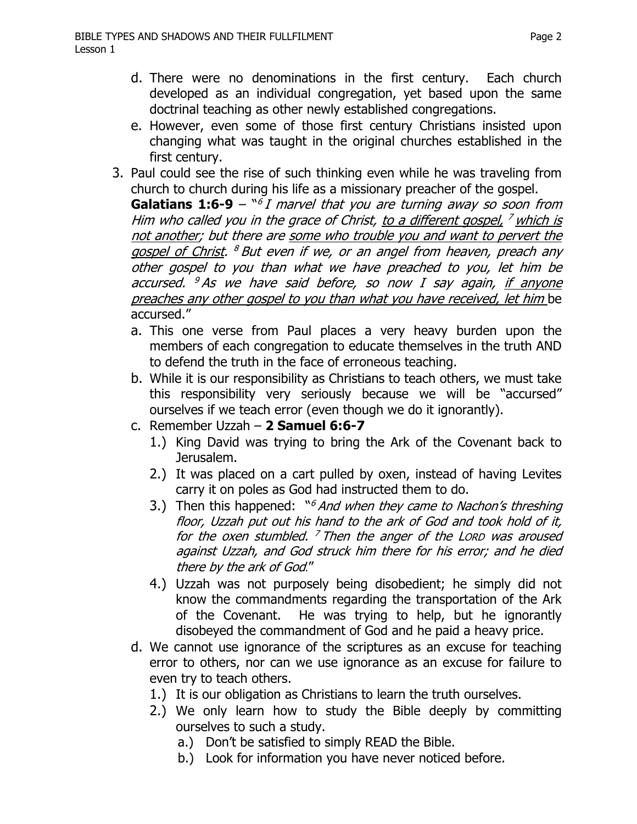- d. There were no denominations in the first century. Each church developed as an individual congregation, yet based upon the same doctrinal teaching as other newly established congregations.
- e. However, even some of those first century Christians insisted upon changing what was taught in the original churches established in the first century.
- 3. Paul could see the rise of such thinking even while he was traveling from church to church during his life as a missionary preacher of the gospel.

**Galatians 1:6-9** – <sup>n6</sup>I marvel that you are turning away so soon from Him who called you in the grace of Christ, to a different gospel,  $<sup>7</sup>$  which is</sup> not another; but there are some who trouble you and want to pervert the gospel of Christ. <sup>8</sup> But even if we, or an angel from heaven, preach any other gospel to you than what we have preached to you, let him be accursed.  $9$  As we have said before, so now I say again, if anyone preaches any other gospel to you than what you have received, let him be accursed."

- a. This one verse from Paul places a very heavy burden upon the members of each congregation to educate themselves in the truth AND to defend the truth in the face of erroneous teaching.
- b. While it is our responsibility as Christians to teach others, we must take this responsibility very seriously because we will be "accursed" ourselves if we teach error (even though we do it ignorantly).
- c. Remember Uzzah **2 Samuel 6:6-7** 
	- 1.) King David was trying to bring the Ark of the Covenant back to Jerusalem.
	- 2.) It was placed on a cart pulled by oxen, instead of having Levites carry it on poles as God had instructed them to do.
	- 3.) Then this happened:  $\sqrt[16]{a}$  And when they came to Nachon's threshing floor, Uzzah put out his hand to the ark of God and took hold of it, for the oxen stumbled.  $^7$  Then the anger of the LORD was aroused against Uzzah, and God struck him there for his error; and he died there by the ark of God."
	- 4.) Uzzah was not purposely being disobedient; he simply did not know the commandments regarding the transportation of the Ark of the Covenant. He was trying to help, but he ignorantly disobeyed the commandment of God and he paid a heavy price.
- d. We cannot use ignorance of the scriptures as an excuse for teaching error to others, nor can we use ignorance as an excuse for failure to even try to teach others.
	- 1.) It is our obligation as Christians to learn the truth ourselves.
	- 2.) We only learn how to study the Bible deeply by committing ourselves to such a study.
		- a.) Don't be satisfied to simply READ the Bible.
		- b.) Look for information you have never noticed before.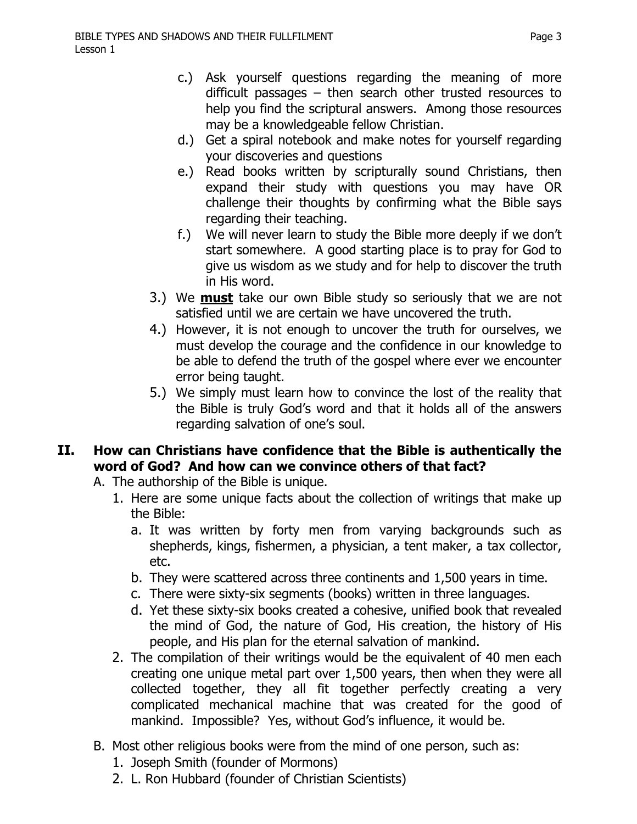- c.) Ask yourself questions regarding the meaning of more difficult passages – then search other trusted resources to help you find the scriptural answers. Among those resources may be a knowledgeable fellow Christian.
- d.) Get a spiral notebook and make notes for yourself regarding your discoveries and questions
- e.) Read books written by scripturally sound Christians, then expand their study with questions you may have OR challenge their thoughts by confirming what the Bible says regarding their teaching.
- f.) We will never learn to study the Bible more deeply if we don't start somewhere. A good starting place is to pray for God to give us wisdom as we study and for help to discover the truth in His word.
- 3.) We **must** take our own Bible study so seriously that we are not satisfied until we are certain we have uncovered the truth.
- 4.) However, it is not enough to uncover the truth for ourselves, we must develop the courage and the confidence in our knowledge to be able to defend the truth of the gospel where ever we encounter error being taught.
- 5.) We simply must learn how to convince the lost of the reality that the Bible is truly God's word and that it holds all of the answers regarding salvation of one's soul.

### **II. How can Christians have confidence that the Bible is authentically the word of God? And how can we convince others of that fact?**

- A. The authorship of the Bible is unique.
	- 1. Here are some unique facts about the collection of writings that make up the Bible:
		- a. It was written by forty men from varying backgrounds such as shepherds, kings, fishermen, a physician, a tent maker, a tax collector, etc.
		- b. They were scattered across three continents and 1,500 years in time.
		- c. There were sixty-six segments (books) written in three languages.
		- d. Yet these sixty-six books created a cohesive, unified book that revealed the mind of God, the nature of God, His creation, the history of His people, and His plan for the eternal salvation of mankind.
	- 2. The compilation of their writings would be the equivalent of 40 men each creating one unique metal part over 1,500 years, then when they were all collected together, they all fit together perfectly creating a very complicated mechanical machine that was created for the good of mankind. Impossible? Yes, without God's influence, it would be.
- B. Most other religious books were from the mind of one person, such as:
	- 1. Joseph Smith (founder of Mormons)
	- 2. L. Ron Hubbard (founder of Christian Scientists)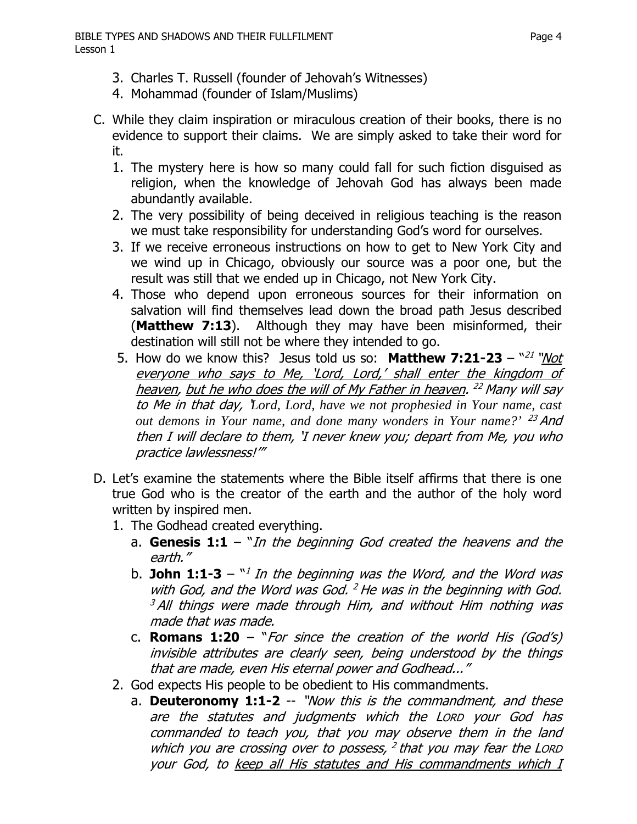- 3. Charles T. Russell (founder of Jehovah's Witnesses)
- 4. Mohammad (founder of Islam/Muslims)
- C. While they claim inspiration or miraculous creation of their books, there is no evidence to support their claims. We are simply asked to take their word for it.
	- 1. The mystery here is how so many could fall for such fiction disguised as religion, when the knowledge of Jehovah God has always been made abundantly available.
	- 2. The very possibility of being deceived in religious teaching is the reason we must take responsibility for understanding God's word for ourselves.
	- 3. If we receive erroneous instructions on how to get to New York City and we wind up in Chicago, obviously our source was a poor one, but the result was still that we ended up in Chicago, not New York City.
	- 4. Those who depend upon erroneous sources for their information on salvation will find themselves lead down the broad path Jesus described (**Matthew 7:13**). Although they may have been misinformed, their destination will still not be where they intended to go.
	- 5. How do we know this? Jesus told us so: Matthew 7:21-23 "21 "Not everyone who says to Me, 'Lord, Lord,' shall enter the kingdom of heaven, but he who does the will of My Father in heaven. <sup>22</sup> Many will say to Me in that day, '*Lord, Lord, have we not prophesied in Your name, cast out demons in Your name, and done many wonders in Your name?'* <sup>23</sup>And then I will declare to them, 'I never knew you; depart from Me, you who practice lawlessness!'"
- D. Let's examine the statements where the Bible itself affirms that there is one true God who is the creator of the earth and the author of the holy word written by inspired men.
	- 1. The Godhead created everything.
		- a. **Genesis 1:1**  "In the beginning God created the heavens and the earth."
		- b. **John 1:1-3** <sup>n<sub>1</sub> In the beginning was the Word, and the Word was</sup> with God, and the Word was God,  $2$  He was in the beginning with God.  $3$  All things were made through Him, and without Him nothing was made that was made.
		- c. **Romans 1:20**  "For since the creation of the world His (God's) invisible attributes are clearly seen, being understood by the things that are made, even His eternal power and Godhead..."
	- 2. God expects His people to be obedient to His commandments.
		- a. **Deuteronomy 1:1-2** -- "Now this is the commandment, and these are the statutes and judgments which the LORD your God has commanded to teach you, that you may observe them in the land which you are crossing over to possess,  $2$  that you may fear the LORD your God, to keep all His statutes and His commandments which I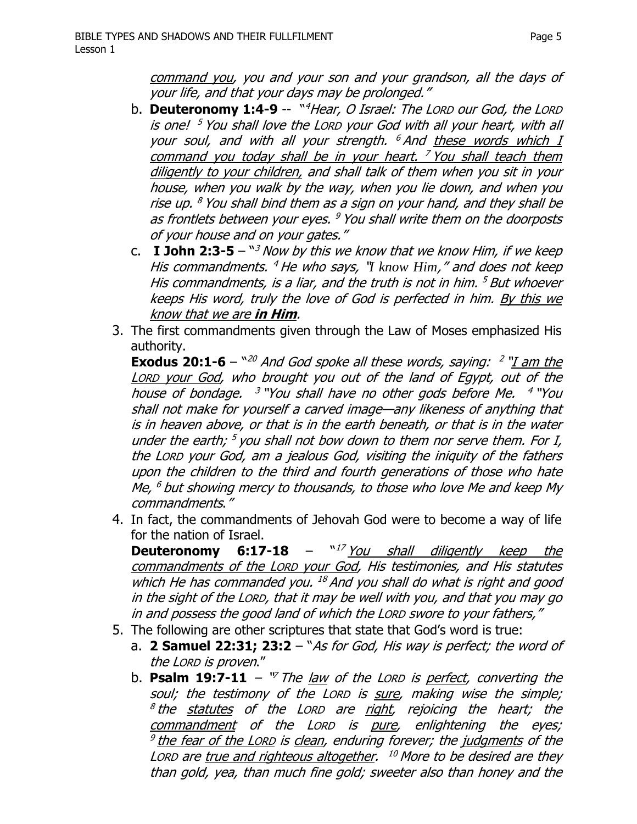command you, you and your son and your grandson, all the days of your life, and that your days may be prolonged."

- b. **Deuteronomy 1:4-9** -- "<sup>4</sup>Hear, O Israel: The LORD our God, the LORD is one!  $5$  You shall love the LORD your God with all your heart, with all your soul, and with all your strength. <sup>6</sup> And these words which I command you today shall be in your heart. <sup>7</sup> You shall teach them diligently to your children, and shall talk of them when you sit in your house, when you walk by the way, when you lie down, and when you rise up.  $8$  You shall bind them as a sign on your hand, and they shall be as frontlets between your eyes. <sup>9</sup> You shall write them on the doorposts of your house and on your gates."
- c. **I John 2:3-5**  $\frac{1}{3}$  Now by this we know that we know Him, if we keep His commandments. <sup>4</sup>He who says, "*I know Him*," and does not keep His commandments, is a liar, and the truth is not in him.  $5$  But whoever keeps His word, truly the love of God is perfected in him. By this we know that we are **in Him**.
- 3. The first commandments given through the Law of Moses emphasized His authority.

**Exodus 20:1-6** –  $^{\prime\prime\prime\prime}$  And God spoke all these words, saying: <sup>2</sup> "I am the LORD your God, who brought you out of the land of Egypt, out of the house of bondage.  $3$  "You shall have no other gods before Me.  $4$  "You shall not make for yourself a carved image—any likeness of anything that is in heaven above, or that is in the earth beneath, or that is in the water under the earth;  $5$  you shall not bow down to them nor serve them. For I, the LORD your God, am a jealous God, visiting the iniquity of the fathers upon the children to the third and fourth generations of those who hate Me,  $^6$  but showing mercy to thousands, to those who love Me and keep My commandments."

4. In fact, the commandments of Jehovah God were to become a way of life for the nation of Israel.

**Deuteronomy 6:17-18** – "<sup>17</sup> You shall diligently keep the commandments of the LORD your God, His testimonies, and His statutes which He has commanded you.  $^{18}$  And you shall do what is right and good in the sight of the LORD, that it may be well with you, and that you may go in and possess the good land of which the LORD swore to your fathers,"

- 5. The following are other scriptures that state that God's word is true:
	- a. **2 Samuel 22:31; 23:2** "As for God, His way is perfect; the word of the LORD is proven."
	- b. **Psalm 19:7-11**  $\sqrt{v}$  The law of the LORD is perfect, converting the soul; the testimony of the LORD is sure, making wise the simple;  $8$ the statutes of the LORD are right, rejoicing the heart; the commandment of the LORD is pure, enlightening the eyes;  $9$  the fear of the LORD is clean, enduring forever; the judgments of the LORD are true and righteous altogether.  $10$  More to be desired are they than gold, yea, than much fine gold; sweeter also than honey and the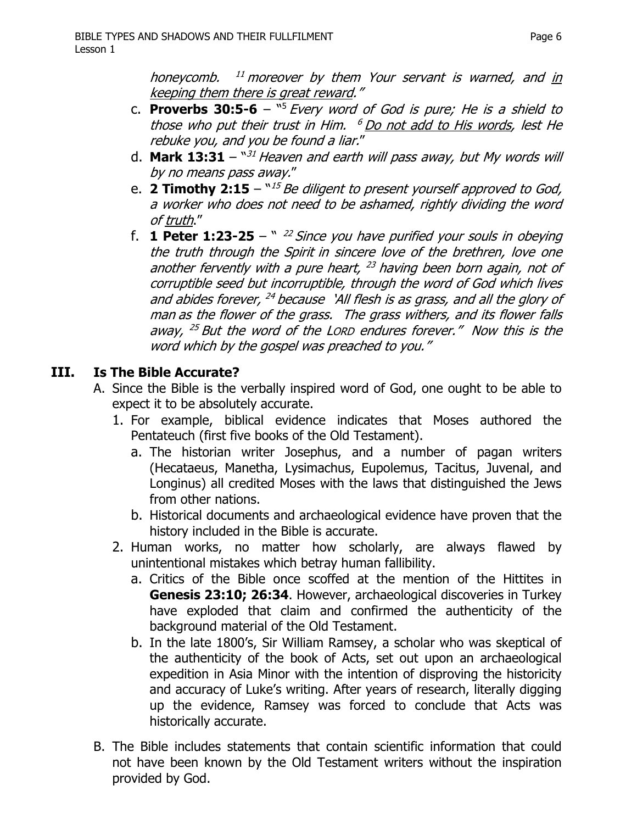honeycomb. <sup>11</sup> moreover by them Your servant is warned, and in keeping them there is great reward."

- c. **Proverbs 30:5-6** "5 Every word of God is pure; He is a shield to those who put their trust in Him.  $6$  Do not add to His words, lest He rebuke you, and you be found a liar."
- d. **Mark 13:31**  $"31$  Heaven and earth will pass away, but My words will by no means pass away."
- e. **2 Timothy 2:15**  $N15$  Be diligent to present yourself approved to God, a worker who does not need to be ashamed, rightly dividing the word of truth."
- f. **1 Peter 1:23-25**  $\frac{1}{2}$  *22 Since you have purified your souls in obeying* the truth through the Spirit in sincere love of the brethren, love one another fervently with a pure heart,  $^{23}$  having been born again, not of corruptible seed but incorruptible, through the word of God which lives and abides forever,  $^{24}$  because 'All flesh is as grass, and all the glory of man as the flower of the grass. The grass withers, and its flower falls away, <sup>25</sup> But the word of the Lorp endures forever." Now this is the word which by the gospel was preached to you."

## **III. Is The Bible Accurate?**

- A. Since the Bible is the verbally inspired word of God, one ought to be able to expect it to be absolutely accurate.
	- 1. For example, biblical evidence indicates that Moses authored the Pentateuch (first five books of the Old Testament).
		- a. The historian writer Josephus, and a number of pagan writers (Hecataeus, Manetha, Lysimachus, Eupolemus, Tacitus, Juvenal, and Longinus) all credited Moses with the laws that distinguished the Jews from other nations.
		- b. Historical documents and archaeological evidence have proven that the history included in the Bible is accurate.
	- 2. Human works, no matter how scholarly, are always flawed by unintentional mistakes which betray human fallibility.
		- a. Critics of the Bible once scoffed at the mention of the Hittites in **Genesis 23:10; 26:34**. However, archaeological discoveries in Turkey have exploded that claim and confirmed the authenticity of the background material of the Old Testament.
		- b. In the late 1800's, Sir William Ramsey, a scholar who was skeptical of the authenticity of the book of Acts, set out upon an archaeological expedition in Asia Minor with the intention of disproving the historicity and accuracy of Luke's writing. After years of research, literally digging up the evidence, Ramsey was forced to conclude that Acts was historically accurate.
- B. The Bible includes statements that contain scientific information that could not have been known by the Old Testament writers without the inspiration provided by God.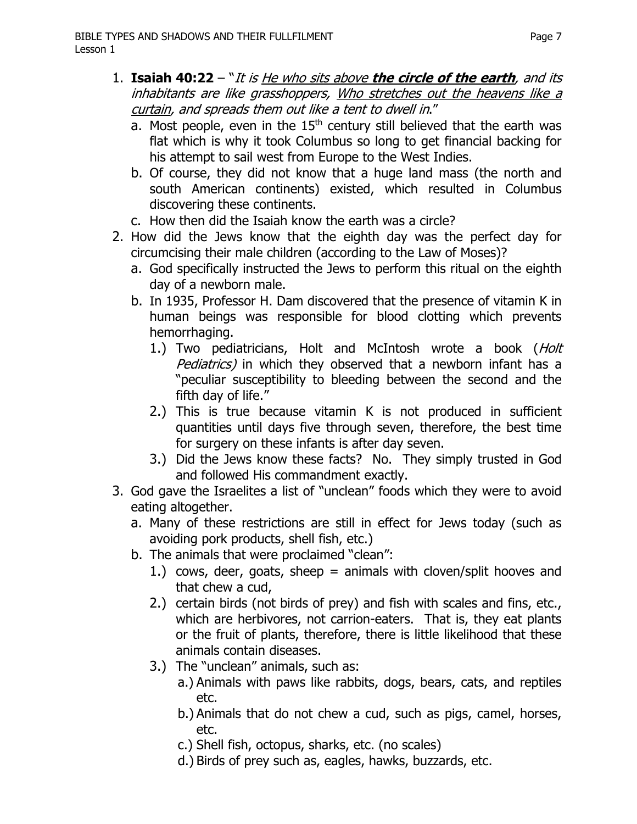- 1. **Isaiah 40:22**  "It is He who sits above **the circle of the earth**, and its inhabitants are like grasshoppers, Who stretches out the heavens like a curtain, and spreads them out like a tent to dwell in."
	- a. Most people, even in the  $15<sup>th</sup>$  century still believed that the earth was flat which is why it took Columbus so long to get financial backing for his attempt to sail west from Europe to the West Indies.
	- b. Of course, they did not know that a huge land mass (the north and south American continents) existed, which resulted in Columbus discovering these continents.
	- c. How then did the Isaiah know the earth was a circle?
- 2. How did the Jews know that the eighth day was the perfect day for circumcising their male children (according to the Law of Moses)?
	- a. God specifically instructed the Jews to perform this ritual on the eighth day of a newborn male.
	- b. In 1935, Professor H. Dam discovered that the presence of vitamin K in human beings was responsible for blood clotting which prevents hemorrhaging.
		- 1.) Two pediatricians, Holt and McIntosh wrote a book (Holt Pediatrics) in which they observed that a newborn infant has a "peculiar susceptibility to bleeding between the second and the fifth day of life."
		- 2.) This is true because vitamin K is not produced in sufficient quantities until days five through seven, therefore, the best time for surgery on these infants is after day seven.
		- 3.) Did the Jews know these facts? No. They simply trusted in God and followed His commandment exactly.
- 3. God gave the Israelites a list of "unclean" foods which they were to avoid eating altogether.
	- a. Many of these restrictions are still in effect for Jews today (such as avoiding pork products, shell fish, etc.)
	- b. The animals that were proclaimed "clean":
		- 1.) cows, deer, goats, sheep = animals with cloven/split hooves and that chew a cud,
		- 2.) certain birds (not birds of prey) and fish with scales and fins, etc., which are herbivores, not carrion-eaters. That is, they eat plants or the fruit of plants, therefore, there is little likelihood that these animals contain diseases.
		- 3.) The "unclean" animals, such as:
			- a.) Animals with paws like rabbits, dogs, bears, cats, and reptiles etc.
			- b.) Animals that do not chew a cud, such as pigs, camel, horses, etc.
			- c.) Shell fish, octopus, sharks, etc. (no scales)
			- d.) Birds of prey such as, eagles, hawks, buzzards, etc.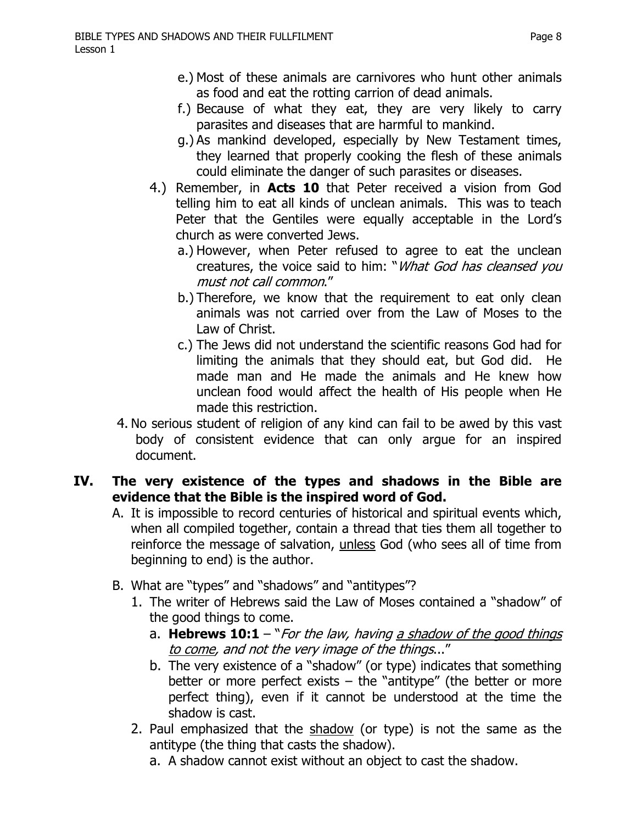- e.) Most of these animals are carnivores who hunt other animals as food and eat the rotting carrion of dead animals.
- f.) Because of what they eat, they are very likely to carry parasites and diseases that are harmful to mankind.
- g.) As mankind developed, especially by New Testament times, they learned that properly cooking the flesh of these animals could eliminate the danger of such parasites or diseases.
- 4.) Remember, in **Acts 10** that Peter received a vision from God telling him to eat all kinds of unclean animals. This was to teach Peter that the Gentiles were equally acceptable in the Lord's church as were converted Jews.
	- a.) However, when Peter refused to agree to eat the unclean creatures, the voice said to him: "*What God has cleansed you* must not call common."
	- b.) Therefore, we know that the requirement to eat only clean animals was not carried over from the Law of Moses to the Law of Christ.
	- c.) The Jews did not understand the scientific reasons God had for limiting the animals that they should eat, but God did. He made man and He made the animals and He knew how unclean food would affect the health of His people when He made this restriction.
- 4. No serious student of religion of any kind can fail to be awed by this vast body of consistent evidence that can only argue for an inspired document.

#### **IV. The very existence of the types and shadows in the Bible are evidence that the Bible is the inspired word of God.**

- A. It is impossible to record centuries of historical and spiritual events which, when all compiled together, contain a thread that ties them all together to reinforce the message of salvation, unless God (who sees all of time from beginning to end) is the author.
- B. What are "types" and "shadows" and "antitypes"?
	- 1. The writer of Hebrews said the Law of Moses contained a "shadow" of the good things to come.
		- a. **Hebrews 10:1** "For the law, having a shadow of the good things to come, and not the very image of the things..."
		- b. The very existence of a "shadow" (or type) indicates that something better or more perfect exists  $-$  the "antitype" (the better or more perfect thing), even if it cannot be understood at the time the shadow is cast.
	- 2. Paul emphasized that the shadow (or type) is not the same as the antitype (the thing that casts the shadow).
		- a. A shadow cannot exist without an object to cast the shadow.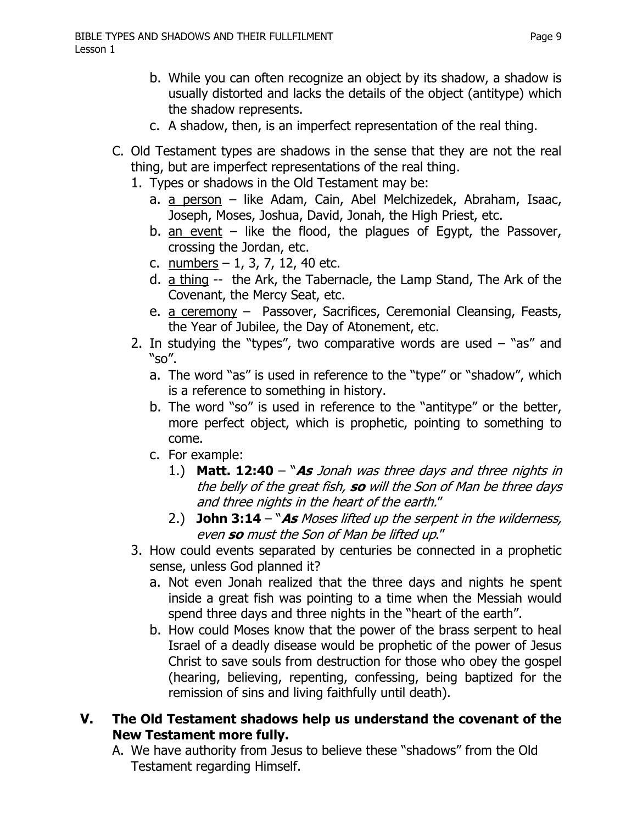- b. While you can often recognize an object by its shadow, a shadow is usually distorted and lacks the details of the object (antitype) which the shadow represents.
- c. A shadow, then, is an imperfect representation of the real thing.
- C. Old Testament types are shadows in the sense that they are not the real thing, but are imperfect representations of the real thing.
	- 1. Types or shadows in the Old Testament may be:
		- a. a person like Adam, Cain, Abel Melchizedek, Abraham, Isaac, Joseph, Moses, Joshua, David, Jonah, the High Priest, etc.
		- b. an event  $-$  like the flood, the plagues of Egypt, the Passover, crossing the Jordan, etc.
		- c.  $numbers 1, 3, 7, 12, 40 etc.$
		- d. a thing -- the Ark, the Tabernacle, the Lamp Stand, The Ark of the Covenant, the Mercy Seat, etc.
		- e. a ceremony Passover, Sacrifices, Ceremonial Cleansing, Feasts, the Year of Jubilee, the Day of Atonement, etc.
	- 2. In studying the "types", two comparative words are used  $-$  "as" and "so".
		- a. The word "as" is used in reference to the "type" or "shadow", which is a reference to something in history.
		- b. The word "so" is used in reference to the "antitype" or the better, more perfect object, which is prophetic, pointing to something to come.
		- c. For example:
			- 1.) **Matt. 12:40**  "**As** Jonah was three days and three nights in the belly of the great fish, **so** will the Son of Man be three days and three nights in the heart of the earth."
			- 2.) **John 3:14**  "**As** Moses lifted up the serpent in the wilderness, even **so** must the Son of Man be lifted up."
	- 3. How could events separated by centuries be connected in a prophetic sense, unless God planned it?
		- a. Not even Jonah realized that the three days and nights he spent inside a great fish was pointing to a time when the Messiah would spend three days and three nights in the "heart of the earth".
		- b. How could Moses know that the power of the brass serpent to heal Israel of a deadly disease would be prophetic of the power of Jesus Christ to save souls from destruction for those who obey the gospel (hearing, believing, repenting, confessing, being baptized for the remission of sins and living faithfully until death).
- **V. The Old Testament shadows help us understand the covenant of the New Testament more fully.**
	- A. We have authority from Jesus to believe these "shadows" from the Old Testament regarding Himself.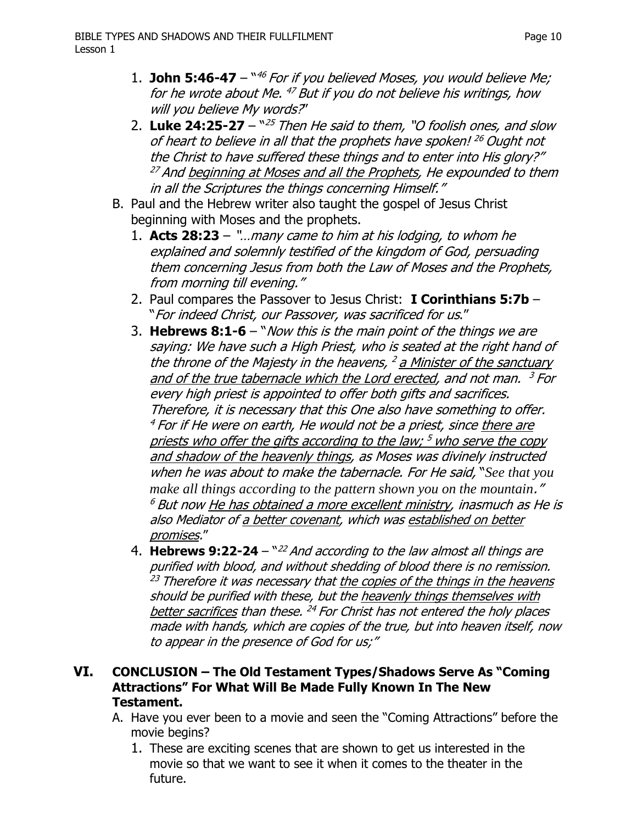- 1. **John 5:46-47** <sup>46</sup> For if you believed Moses, you would believe Me; for he wrote about Me.  $47$  But if you do not believe his writings, how will you believe My words?"
- 2. **Luke 24:25-27**  "<sup>25</sup>Then He said to them, "O foolish ones, and slow of heart to believe in all that the prophets have spoken! <sup>26</sup> Ought not the Christ to have suffered these things and to enter into His glory?"  $^{27}$  And beginning at Moses and all the Prophets, He expounded to them in all the Scriptures the things concerning Himself."
- B. Paul and the Hebrew writer also taught the gospel of Jesus Christ beginning with Moses and the prophets.
	- 1. **Acts 28:23** "…many came to him at his lodging, to whom he explained and solemnly testified of the kingdom of God, persuading them concerning Jesus from both the Law of Moses and the Prophets, from morning till evening."
	- 2. Paul compares the Passover to Jesus Christ: **I Corinthians 5:7b**  "For indeed Christ, our Passover, was sacrificed for us."
	- 3. **Hebrews 8:1-6**  "Now this is the main point of the things we are saying: We have such a High Priest, who is seated at the right hand of the throne of the Majesty in the heavens,  $2$  a Minister of the sanctuary and of the true tabernacle which the Lord erected, and not man.  $3$  For every high priest is appointed to offer both gifts and sacrifices. Therefore, it is necessary that this One also have something to offer.  $4$  For if He were on earth, He would not be a priest, since there are priests who offer the gifts according to the law;  $5$  who serve the copy and shadow of the heavenly things, as Moses was divinely instructed when he was about to make the tabernacle. For He said, "*See that you make all things according to the pattern shown you on the mountain*."  $^6$  But now He has obtained a more excellent ministry, inasmuch as He is also Mediator of a better covenant, which was established on better promises."
	- 4. **Hebrews 9:22-24**  "<sup>22</sup>And according to the law almost all things are purified with blood, and without shedding of blood there is no remission.  $^{23}$  Therefore it was necessary that the copies of the things in the heavens should be purified with these, but the heavenly things themselves with better sacrifices than these.  $^{24}$  For Christ has not entered the holy places made with hands, which are copies of the true, but into heaven itself, now to appear in the presence of God for us;"

#### **VI. CONCLUSION – The Old Testament Types/Shadows Serve As "Coming Attractions" For What Will Be Made Fully Known In The New Testament.**

- A. Have you ever been to a movie and seen the "Coming Attractions" before the movie begins?
	- 1. These are exciting scenes that are shown to get us interested in the movie so that we want to see it when it comes to the theater in the future.